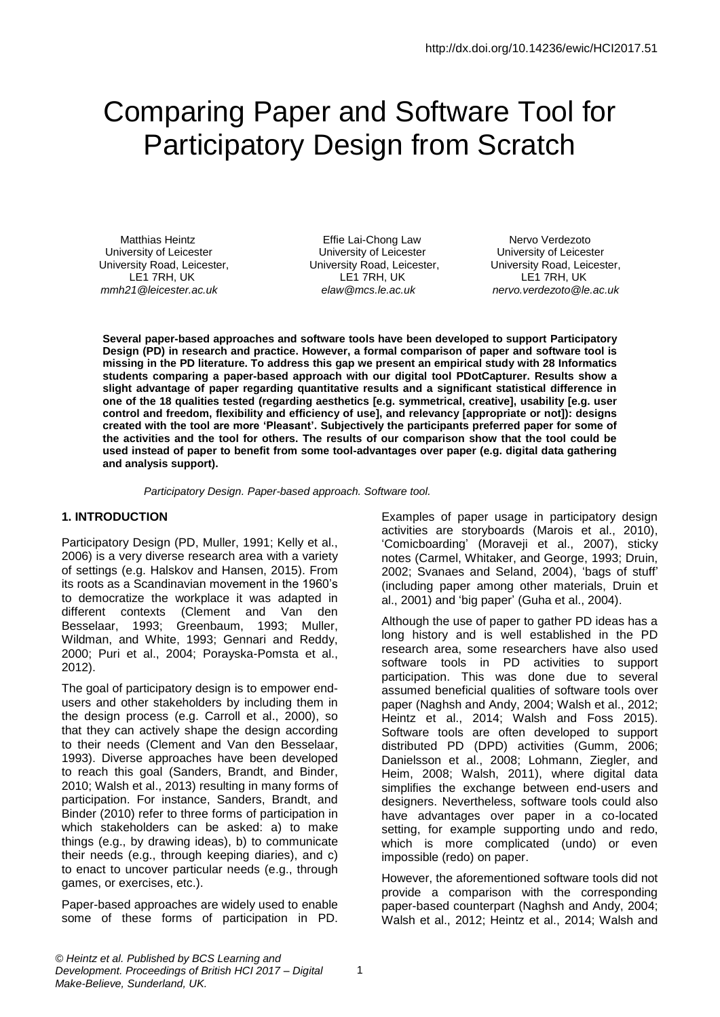# Comparing Paper and Software Tool for Participatory Design from Scratch

Matthias Heintz **Effie Lai-Chong Law** Nervo Verdezoto University of Leicester University of Leicester University of Leicester University Road, Leicester, University Road, Leicester, University Road, Leicester, LE1 7RH, UK LE1 7RH, UK LE1 7RH, UK *mmh21@leicester.ac.uk elaw@mcs.le.ac.uk nervo.verdezoto@le.ac.uk*

**Several paper-based approaches and software tools have been developed to support Participatory Design (PD) in research and practice. However, a formal comparison of paper and software tool is missing in the PD literature. To address this gap we present an empirical study with 28 Informatics students comparing a paper-based approach with our digital tool PDotCapturer. Results show a slight advantage of paper regarding quantitative results and a significant statistical difference in one of the 18 qualities tested (regarding aesthetics [e.g. symmetrical, creative], usability [e.g. user control and freedom, flexibility and efficiency of use], and relevancy [appropriate or not]): designs created with the tool are more 'Pleasant'. Subjectively the participants preferred paper for some of the activities and the tool for others. The results of our comparison show that the tool could be used instead of paper to benefit from some tool-advantages over paper (e.g. digital data gathering and analysis support).**

*Participatory Design. Paper-based approach. Software tool.*

#### **1. INTRODUCTION**

Participatory Design (PD, Muller, 1991; Kelly et al., 2006) is a very diverse research area with a variety of settings (e.g. Halskov and Hansen, 2015). From its roots as a Scandinavian movement in the 1960's to democratize the workplace it was adapted in different contexts (Clement and Van den Besselaar, 1993; Greenbaum, 1993; Muller, Wildman, and White, 1993; Gennari and Reddy, 2000; Puri et al., 2004; Porayska-Pomsta et al., 2012).

The goal of participatory design is to empower endusers and other stakeholders by including them in the design process (e.g. Carroll et al., 2000), so that they can actively shape the design according to their needs (Clement and Van den Besselaar, 1993). Diverse approaches have been developed to reach this goal (Sanders, Brandt, and Binder, 2010; Walsh et al., 2013) resulting in many forms of participation. For instance, Sanders, Brandt, and Binder (2010) refer to three forms of participation in which stakeholders can be asked: a) to make things (e.g., by drawing ideas), b) to communicate their needs (e.g., through keeping diaries), and c) to enact to uncover particular needs (e.g., through games, or exercises, etc.).

Paper-based approaches are widely used to enable some of these forms of participation in PD. Examples of paper usage in participatory design activities are storyboards (Marois et al., 2010), 'Comicboarding' (Moraveji et al., 2007), sticky notes (Carmel, Whitaker, and George, 1993; Druin, 2002; Svanaes and Seland, 2004), 'bags of stuff' (including paper among other materials, Druin et al., 2001) and 'big paper' (Guha et al., 2004).

Although the use of paper to gather PD ideas has a long history and is well established in the PD research area, some researchers have also used software tools in PD activities to support participation. This was done due to several assumed beneficial qualities of software tools over paper (Naghsh and Andy, 2004; Walsh et al., 2012; Heintz et al., 2014; Walsh and Foss 2015). Software tools are often developed to support distributed PD (DPD) activities (Gumm, 2006; Danielsson et al., 2008; Lohmann, Ziegler, and Heim, 2008; Walsh, 2011), where digital data simplifies the exchange between end-users and designers. Nevertheless, software tools could also have advantages over paper in a co-located setting, for example supporting undo and redo, which is more complicated (undo) or even impossible (redo) on paper.

However, the aforementioned software tools did not provide a comparison with the corresponding paper-based counterpart (Naghsh and Andy, 2004; Walsh et al., 2012; Heintz et al., 2014; Walsh and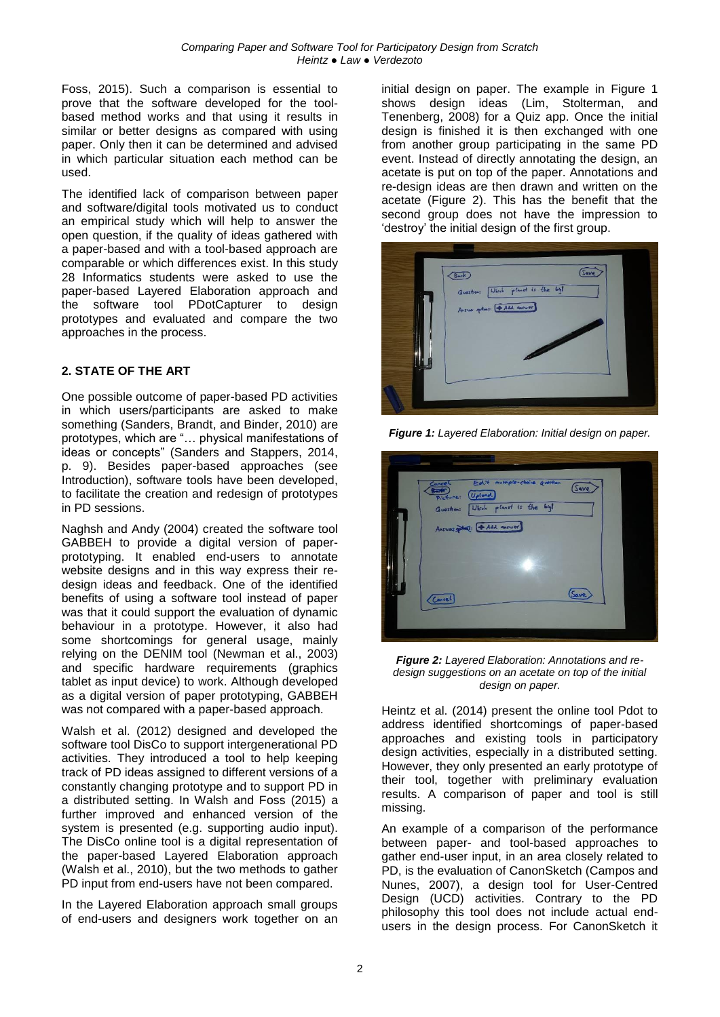Foss, 2015). Such a comparison is essential to prove that the software developed for the toolbased method works and that using it results in similar or better designs as compared with using paper. Only then it can be determined and advised in which particular situation each method can be used.

The identified lack of comparison between paper and software/digital tools motivated us to conduct an empirical study which will help to answer the open question, if the quality of ideas gathered with a paper-based and with a tool-based approach are comparable or which differences exist. In this study 28 Informatics students were asked to use the paper-based Layered Elaboration approach and the software tool PDotCapturer to design prototypes and evaluated and compare the two approaches in the process.

#### **2. STATE OF THE ART**

One possible outcome of paper-based PD activities in which users/participants are asked to make something (Sanders, Brandt, and Binder, 2010) are prototypes, which are "… physical manifestations of ideas or concepts" (Sanders and Stappers, 2014, p. 9). Besides paper-based approaches (see Introduction), software tools have been developed, to facilitate the creation and redesign of prototypes in PD sessions.

Naghsh and Andy (2004) created the software tool GABBEH to provide a digital version of paperprototyping. It enabled end-users to annotate website designs and in this way express their redesign ideas and feedback. One of the identified benefits of using a software tool instead of paper was that it could support the evaluation of dynamic behaviour in a prototype. However, it also had some shortcomings for general usage, mainly relying on the DENIM tool (Newman et al., 2003) and specific hardware requirements (graphics tablet as input device) to work. Although developed as a digital version of paper prototyping, GABBEH was not compared with a paper-based approach.

Walsh et al. (2012) designed and developed the software tool DisCo to support intergenerational PD activities. They introduced a tool to help keeping track of PD ideas assigned to different versions of a constantly changing prototype and to support PD in a distributed setting. In Walsh and Foss (2015) a further improved and enhanced version of the system is presented (e.g. supporting audio input). The DisCo online tool is a digital representation of the paper-based Layered Elaboration approach (Walsh et al., 2010), but the two methods to gather PD input from end-users have not been compared.

In the Layered Elaboration approach small groups of end-users and designers work together on an initial design on paper. The example in [Figure 1](#page-1-0) shows design ideas (Lim, Stolterman, and Tenenberg, 2008) for a Quiz app. Once the initial design is finished it is then exchanged with one from another group participating in the same PD event. Instead of directly annotating the design, an acetate is put on top of the paper. Annotations and re-design ideas are then drawn and written on the acetate [\(Figure 2\)](#page-1-1). This has the benefit that the second group does not have the impression to 'destroy' the initial design of the first group.



<span id="page-1-0"></span>*Figure 1: Layered Elaboration: Initial design on paper.*

| Edit multiple-chaine question<br>Cancel  |
|------------------------------------------|
| (Save<br><b>Rack</b><br>Picture: (Upland |
| Question: Which planet is the bigl       |
| Answers phat: (+ Add answer)             |
|                                          |
|                                          |
| (Save<br>Carel                           |
|                                          |
|                                          |

<span id="page-1-1"></span>*Figure 2: Layered Elaboration: Annotations and redesign suggestions on an acetate on top of the initial design on paper.*

Heintz et al. (2014) present the online tool Pdot to address identified shortcomings of paper-based approaches and existing tools in participatory design activities, especially in a distributed setting. However, they only presented an early prototype of their tool, together with preliminary evaluation results. A comparison of paper and tool is still missing.

An example of a comparison of the performance between paper- and tool-based approaches to gather end-user input, in an area closely related to PD, is the evaluation of CanonSketch (Campos and Nunes, 2007), a design tool for User-Centred Design (UCD) activities. Contrary to the PD philosophy this tool does not include actual endusers in the design process. For CanonSketch it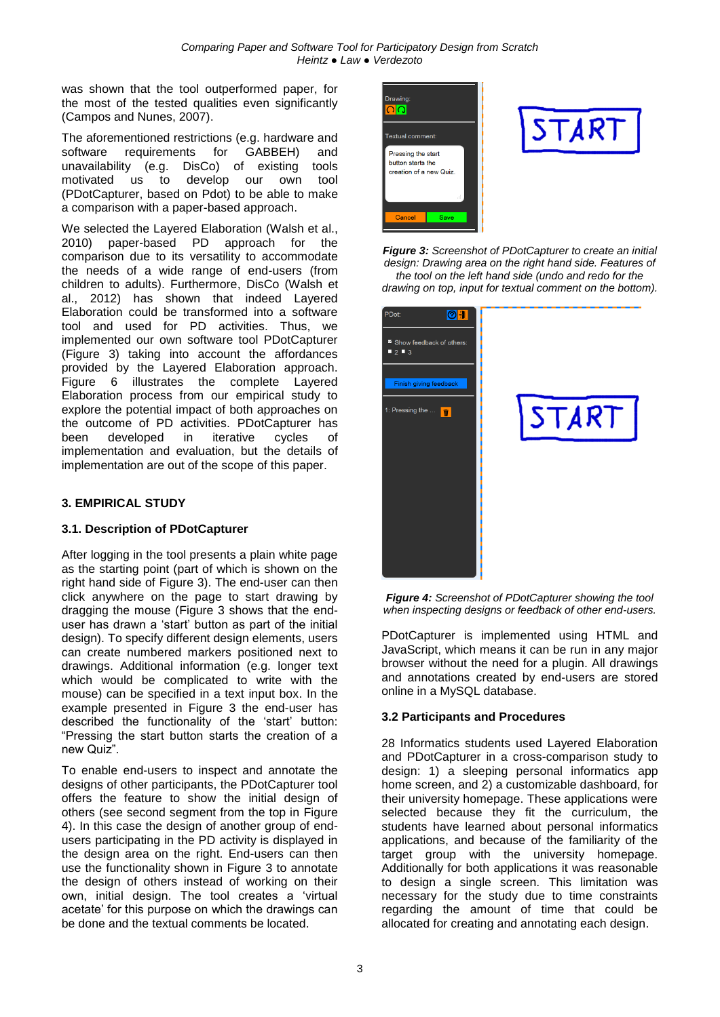was shown that the tool outperformed paper, for the most of the tested qualities even significantly (Campos and Nunes, 2007).

The aforementioned restrictions (e.g. hardware and software requirements for GABBEH) and unavailability (e.g. DisCo) of existing tools motivated us to develop our own tool (PDotCapturer, based on Pdot) to be able to make a comparison with a paper-based approach.

We selected the Layered Elaboration (Walsh et al., 2010) paper-based PD approach for the comparison due to its versatility to accommodate the needs of a wide range of end-users (from children to adults). Furthermore, DisCo (Walsh et al., 2012) has shown that indeed Layered Elaboration could be transformed into a software tool and used for PD activities. Thus, we implemented our own software tool PDotCapturer [\(Figure 3\)](#page-2-0) taking into account the affordances provided by the Layered Elaboration approach. [Figure 6](#page-3-0) illustrates the complete Layered Elaboration process from our empirical study to explore the potential impact of both approaches on the outcome of PD activities. PDotCapturer has been developed in iterative cycles of implementation and evaluation, but the details of implementation are out of the scope of this paper.

# **3. EMPIRICAL STUDY**

# **3.1. Description of PDotCapturer**

After logging in the tool presents a plain white page as the starting point (part of which is shown on the right hand side of [Figure 3\)](#page-2-0). The end-user can then click anywhere on the page to start drawing by dragging the mouse [\(Figure 3](#page-2-0) shows that the enduser has drawn a 'start' button as part of the initial design). To specify different design elements, users can create numbered markers positioned next to drawings. Additional information (e.g. longer text which would be complicated to write with the mouse) can be specified in a text input box. In the example presented in [Figure 3](#page-2-0) the end-user has described the functionality of the 'start' button: "Pressing the start button starts the creation of a new Quiz".

To enable end-users to inspect and annotate the designs of other participants, the PDotCapturer tool offers the feature to show the initial design of others (see second segment from the top in [Figure](#page-2-1)  [4\)](#page-2-1). In this case the design of another group of endusers participating in the PD activity is displayed in the design area on the right. End-users can then use the functionality shown in [Figure 3](#page-2-0) to annotate the design of others instead of working on their own, initial design. The tool creates a 'virtual acetate' for this purpose on which the drawings can be done and the textual comments be located.



<span id="page-2-0"></span>*Figure 3: Screenshot of PDotCapturer to create an initial design: Drawing area on the right hand side. Features of the tool on the left hand side (undo and redo for the drawing on top, input for textual comment on the bottom).*



<span id="page-2-1"></span>*Figure 4: Screenshot of PDotCapturer showing the tool when inspecting designs or feedback of other end-users.*

PDotCapturer is implemented using HTML and JavaScript, which means it can be run in any major browser without the need for a plugin. All drawings and annotations created by end-users are stored online in a MySQL database.

#### **3.2 Participants and Procedures**

28 Informatics students used Layered Elaboration and PDotCapturer in a cross-comparison study to design: 1) a sleeping personal informatics app home screen, and 2) a customizable dashboard, for their university homepage. These applications were selected because they fit the curriculum, the students have learned about personal informatics applications, and because of the familiarity of the target group with the university homepage. Additionally for both applications it was reasonable to design a single screen. This limitation was necessary for the study due to time constraints regarding the amount of time that could be allocated for creating and annotating each design.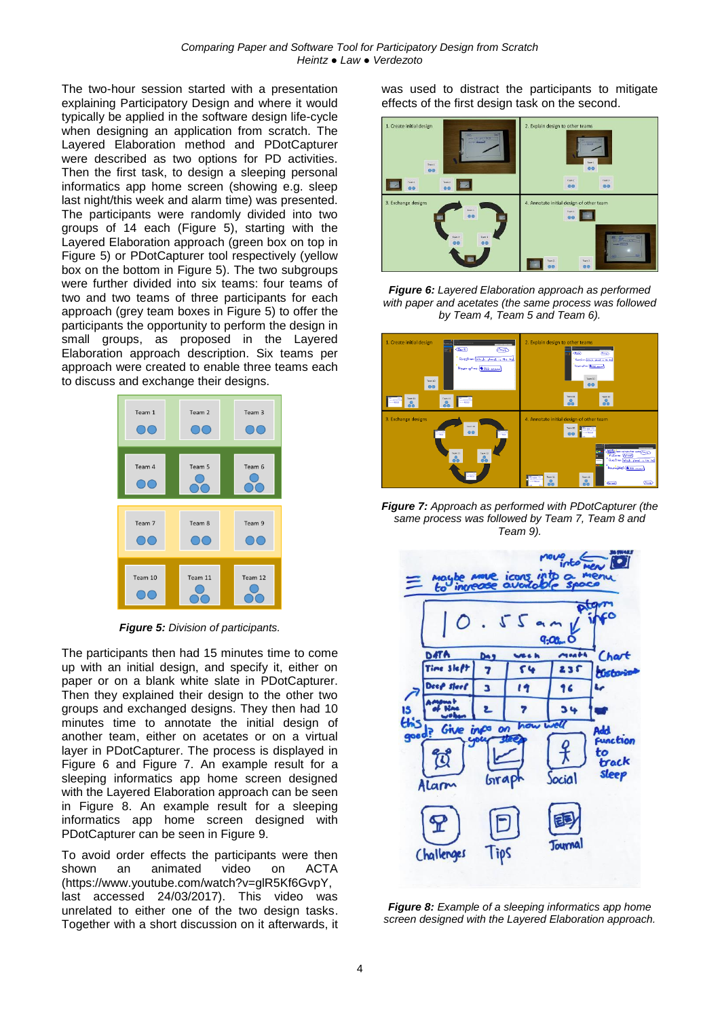The two-hour session started with a presentation explaining Participatory Design and where it would typically be applied in the software design life-cycle when designing an application from scratch. The Layered Elaboration method and PDotCapturer were described as two options for PD activities. Then the first task, to design a sleeping personal informatics app home screen (showing e.g. sleep last night/this week and alarm time) was presented. The participants were randomly divided into two groups of 14 each [\(Figure 5\)](#page-3-1), starting with the Layered Elaboration approach (green box on top in [Figure 5\)](#page-3-1) or PDotCapturer tool respectively (yellow box on the bottom in [Figure 5\)](#page-3-1). The two subgroups were further divided into six teams: four teams of two and two teams of three participants for each approach (grey team boxes in [Figure 5\)](#page-3-1) to offer the participants the opportunity to perform the design in small groups, as proposed in the Layered Elaboration approach description. Six teams per approach were created to enable three teams each to discuss and exchange their designs.



*Figure 5: Division of participants.*

<span id="page-3-1"></span>The participants then had 15 minutes time to come up with an initial design, and specify it, either on paper or on a blank white slate in PDotCapturer. Then they explained their design to the other two groups and exchanged designs. They then had 10 minutes time to annotate the initial design of another team, either on acetates or on a virtual layer in PDotCapturer. The process is displayed in [Figure 6](#page-3-0) and [Figure 7.](#page-3-2) An example result for a sleeping informatics app home screen designed with the Layered Elaboration approach can be seen in [Figure 8.](#page-3-3) An example result for a sleeping informatics app home screen designed with PDotCapturer can be seen in [Figure 9.](#page-4-0)

To avoid order effects the participants were then shown an animated video on ACTA (https://www.youtube.com/watch?v=glR5Kf6GvpY, last accessed 24/03/2017). This video was unrelated to either one of the two design tasks. Together with a short discussion on it afterwards, it was used to distract the participants to mitigate effects of the first design task on the second.



<span id="page-3-0"></span>*Figure 6: Layered Elaboration approach as performed with paper and acetates (the same process was followed by Team 4, Team 5 and Team 6).*



*Figure 7: Approach as performed with PDotCapturer (the same process was followed by Team 7, Team 8 and Team 9).*

<span id="page-3-2"></span>

<span id="page-3-3"></span>*Figure 8: Example of a sleeping informatics app home screen designed with the Layered Elaboration approach.*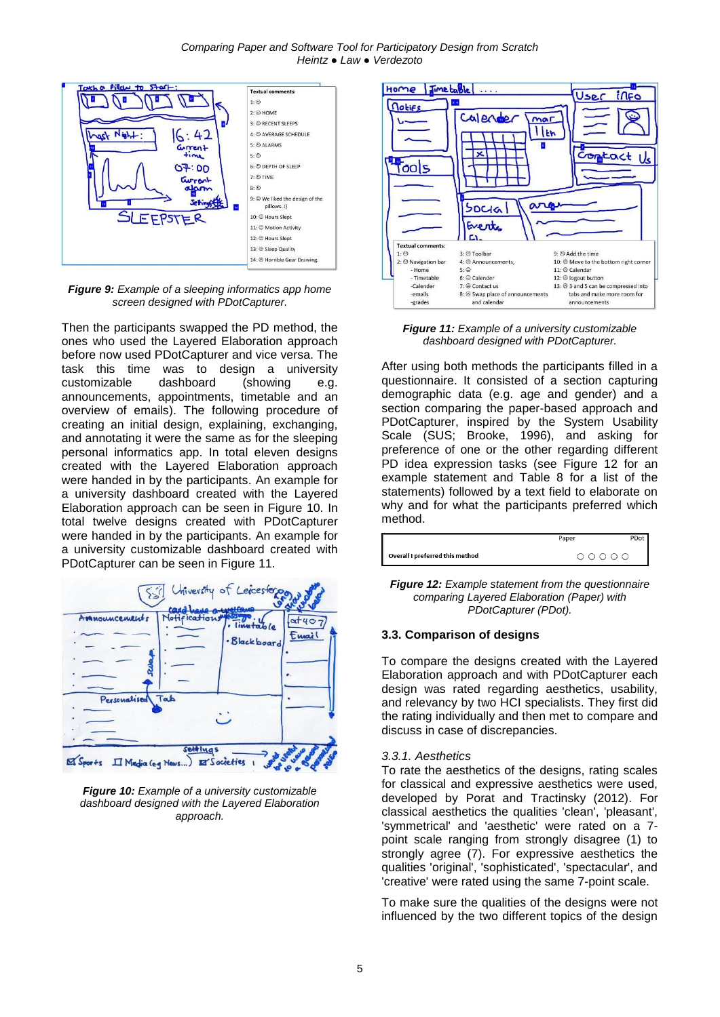

<span id="page-4-0"></span>*Figure 9: Example of a sleeping informatics app home screen designed with PDotCapturer.*

Then the participants swapped the PD method, the ones who used the Layered Elaboration approach before now used PDotCapturer and vice versa. The task this time was to design a university customizable dashboard (showing e.g. announcements, appointments, timetable and an overview of emails). The following procedure of creating an initial design, explaining, exchanging, and annotating it were the same as for the sleeping personal informatics app. In total eleven designs created with the Layered Elaboration approach were handed in by the participants. An example for a university dashboard created with the Layered Elaboration approach can be seen in [Figure 10.](#page-4-1) In total twelve designs created with PDotCapturer were handed in by the participants. An example for a university customizable dashboard created with PDotCapturer can be seen in [Figure 11.](#page-4-2)



<span id="page-4-1"></span>*Figure 10: Example of a university customizable dashboard designed with the Layered Elaboration approach.*



<span id="page-4-2"></span>*Figure 11: Example of a university customizable dashboard designed with PDotCapturer.*

After using both methods the participants filled in a questionnaire. It consisted of a section capturing demographic data (e.g. age and gender) and a section comparing the paper-based approach and PDotCapturer, inspired by the System Usability Scale (SUS; Brooke, 1996), and asking for preference of one or the other regarding different PD idea expression tasks (see [Figure 12](#page-4-3) for an example statement and [Table 8](#page-7-0) for a list of the statements) followed by a text field to elaborate on why and for what the participants preferred which method.

|                                 | Paper   | PDot |
|---------------------------------|---------|------|
| Overall I preferred this method | $00000$ |      |

<span id="page-4-3"></span>*Figure 12: Example statement from the questionnaire comparing Layered Elaboration (Paper) with PDotCapturer (PDot).*

#### **3.3. Comparison of designs**

To compare the designs created with the Layered Elaboration approach and with PDotCapturer each design was rated regarding aesthetics, usability, and relevancy by two HCI specialists. They first did the rating individually and then met to compare and discuss in case of discrepancies.

#### *3.3.1. Aesthetics*

To rate the aesthetics of the designs, rating scales for classical and expressive aesthetics were used, developed by Porat and Tractinsky (2012). For classical aesthetics the qualities 'clean', 'pleasant', 'symmetrical' and 'aesthetic' were rated on a 7 point scale ranging from strongly disagree (1) to strongly agree (7). For expressive aesthetics the qualities 'original', 'sophisticated', 'spectacular', and 'creative' were rated using the same 7-point scale.

To make sure the qualities of the designs were not influenced by the two different topics of the design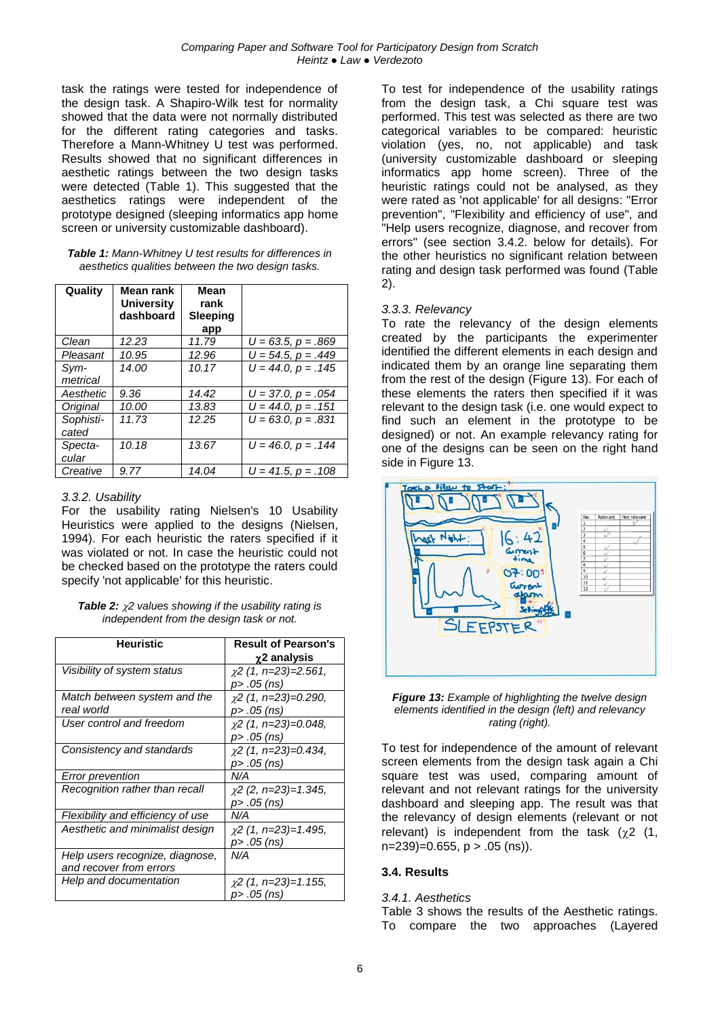task the ratings were tested for independence of the design task. A Shapiro-Wilk test for normality showed that the data were not normally distributed for the different rating categories and tasks. Therefore a Mann-Whitney U test was performed. Results showed that no significant differences in aesthetic ratings between the two design tasks were detected [\(Table 1\)](#page-5-0). This suggested that the aesthetics ratings were independent of the prototype designed (sleeping informatics app home screen or university customizable dashboard).

<span id="page-5-0"></span>

| <b>Table 1:</b> Mann-Whitney U test results for differences in |
|----------------------------------------------------------------|
| aesthetics qualities between the two design tasks.             |

| Quality            | Mean rank<br><b>University</b><br>dashboard | Mean<br>rank<br>Sleeping<br>app |                         |
|--------------------|---------------------------------------------|---------------------------------|-------------------------|
| Clean              | 12.23                                       | 11.79                           | $U = 63.5, p = .869$    |
| Pleasant           | 10.95                                       | 12.96                           | $U = 54.5, p = .449$    |
| Svm-<br>metrical   | 14.00                                       | 10.17                           | $U = 44.0, p = .145$    |
| Aesthetic          | 9.36                                        | 14.42                           | $U = 37.0, p = .054$    |
| Original           | 10.00                                       | 13.83                           | $U = 44.0, p = .151$    |
| Sophisti-<br>cated | 11.73                                       | 12.25                           | $U = 63.0, p = .831$    |
| Specta-<br>cular   | 10.18                                       | 13.67                           | $U = 46.0, p = .144$    |
| Creative           | 9.77                                        | 14.04                           | $U = 41.5$ , $p = .108$ |

#### *3.3.2. Usability*

For the usability rating Nielsen's 10 Usability Heuristics were applied to the designs (Nielsen, 1994). For each heuristic the raters specified if it was violated or not. In case the heuristic could not be checked based on the prototype the raters could specify 'not applicable' for this heuristic.

<span id="page-5-1"></span>

| <b>Table 2:</b> $\chi$ 2 values showing if the usability rating is |
|--------------------------------------------------------------------|
| independent from the design task or not.                           |

| <b>Heuristic</b>                  | <b>Result of Pearson's</b> |
|-----------------------------------|----------------------------|
|                                   | $\chi$ 2 analysis          |
| Visibility of system status       | $\chi$ 2 (1, n=23)=2.561,  |
|                                   | p> .05 (ns)                |
| Match between system and the      | $\chi$ 2 (1, n=23)=0.290,  |
| real world                        | p> .05 (ns)                |
| User control and freedom          | $\chi$ 2 (1, n=23)=0.048,  |
|                                   | p> .05 (ns)                |
| Consistency and standards         | $\chi$ 2 (1, n=23)=0.434,  |
|                                   | p> .05 (ns)                |
| <b>Error prevention</b>           | N/A                        |
| Recognition rather than recall    | $\chi$ 2 (2, n=23)=1.345,  |
|                                   | p> .05 (ns)                |
| Flexibility and efficiency of use | N/A                        |
| Aesthetic and minimalist design   | $\chi$ 2 (1, n=23)=1.495,  |
|                                   | p> .05 (ns)                |
| Help users recognize, diagnose,   | N/A                        |
| and recover from errors           |                            |
| Help and documentation            | $\chi$ 2 (1, n=23)=1.155,  |
|                                   | p> .05 (ns)                |

To test for independence of the usability ratings from the design task, a Chi square test was performed. This test was selected as there are two categorical variables to be compared: heuristic violation (yes, no, not applicable) and task (university customizable dashboard or sleeping informatics app home screen). Three of the heuristic ratings could not be analysed, as they were rated as 'not applicable' for all designs: "Error prevention", "Flexibility and efficiency of use", and "Help users recognize, diagnose, and recover from errors" (see section 3.4.2. below for details). For the other heuristics no significant relation between rating and design task performed was found [\(Table](#page-5-1)  [2\)](#page-5-1).

#### *3.3.3. Relevancy*

To rate the relevancy of the design elements created by the participants the experimenter identified the different elements in each design and indicated them by an orange line separating them from the rest of the design [\(Figure 13\)](#page-5-2). For each of these elements the raters then specified if it was relevant to the design task (i.e. one would expect to find such an element in the prototype to be designed) or not. An example relevancy rating for one of the designs can be seen on the right hand side in [Figure 13.](#page-5-2)



*Figure 13: Example of highlighting the twelve design elements identified in the design (left) and relevancy rating (right).*

<span id="page-5-2"></span>To test for independence of the amount of relevant screen elements from the design task again a Chi square test was used, comparing amount of relevant and not relevant ratings for the university dashboard and sleeping app. The result was that the relevancy of design elements (relevant or not relevant) is independent from the task  $(\gamma 2)(1,$  $n=239$ =0.655,  $p > .05$  (ns)).

#### **3.4. Results**

#### *3.4.1. Aesthetics*

[Table 3](#page-6-0) shows the results of the Aesthetic ratings. To compare the two approaches (Layered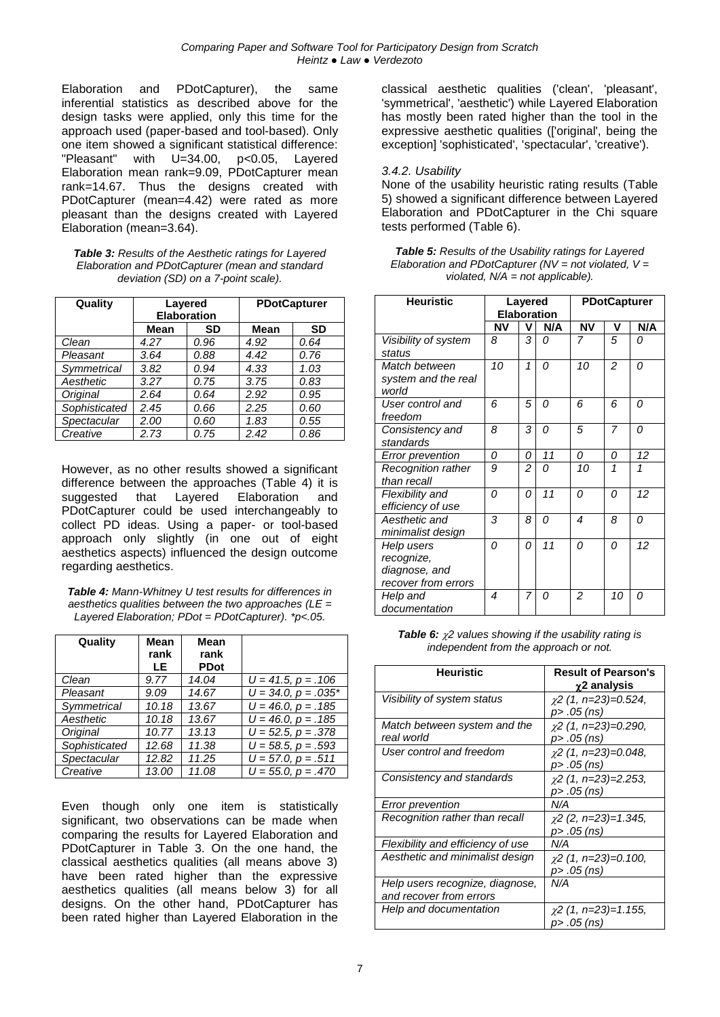Elaboration and PDotCapturer), the same inferential statistics as described above for the design tasks were applied, only this time for the approach used (paper-based and tool-based). Only one item showed a significant statistical difference: "Pleasant" with U=34.00, p<0.05, Layered Elaboration mean rank=9.09, PDotCapturer mean rank=14.67. Thus the designs created with PDotCapturer (mean=4.42) were rated as more pleasant than the designs created with Layered Elaboration (mean=3.64).

<span id="page-6-0"></span>*Table 3: Results of the Aesthetic ratings for Layered Elaboration and PDotCapturer (mean and standard deviation (SD) on a 7-point scale).*

| Quality       | Layered<br><b>Elaboration</b> |      |      | <b>PDotCapturer</b> |
|---------------|-------------------------------|------|------|---------------------|
|               | Mean                          | SD   | Mean | <b>SD</b>           |
| Clean         | 4.27                          | 0.96 | 4.92 | 0.64                |
| Pleasant      | 3.64                          | 0.88 | 4.42 | 0.76                |
| Symmetrical   | 3.82                          | 0.94 | 4.33 | 1.03                |
| Aesthetic     | 3.27                          | 0.75 | 3.75 | 0.83                |
| Original      | 2.64                          | 0.64 | 2.92 | 0.95                |
| Sophisticated | 2.45                          | 0.66 | 2.25 | 0.60                |
| Spectacular   | 2.00                          | 0.60 | 1.83 | 0.55                |
| Creative      | 2.73                          | 0.75 | 2.42 | 0.86                |

However, as no other results showed a significant difference between the approaches [\(Table 4\)](#page-6-1) it is suggested that Layered Elaboration and PDotCapturer could be used interchangeably to collect PD ideas. Using a paper- or tool-based approach only slightly (in one out of eight aesthetics aspects) influenced the design outcome regarding aesthetics.

<span id="page-6-1"></span>*Table 4: Mann-Whitney U test results for differences in aesthetics qualities between the two approaches (LE = Layered Elaboration; PDot = PDotCapturer). \*p<.05.*

| Quality       | Mean<br>rank<br>LE | Mean<br>rank<br><b>PDot</b> |                                  |
|---------------|--------------------|-----------------------------|----------------------------------|
| Clean         | 9.77               | 14.04                       | $U = 41.5, p = .106$             |
| Pleasant      | 9.09               | 14.67                       | $\overline{U}$ = 34.0, p = .035* |
| Symmetrical   | 10.18              | 13.67                       | $U = 46.0, p = .185$             |
| Aesthetic     | 10.18              | 13.67                       | $U = 46.0, p = .185$             |
| Original      | 10.77              | 13.13                       | $U = 52.5, p = .378$             |
| Sophisticated | 12.68              | 11.38                       | $U = 58.5, p = .593$             |
| Spectacular   | 12.82              | 11.25                       | $U = 57.0, p = .511$             |
| Creative      | 13.00              | 11.08                       | $U = 55.0, p = .470$             |

Even though only one item is statistically significant, two observations can be made when comparing the results for Layered Elaboration and PDotCapturer in [Table 3.](#page-6-0) On the one hand, the classical aesthetics qualities (all means above 3) have been rated higher than the expressive aesthetics qualities (all means below 3) for all designs. On the other hand, PDotCapturer has been rated higher than Layered Elaboration in the

classical aesthetic qualities ('clean', 'pleasant', 'symmetrical', 'aesthetic') while Layered Elaboration has mostly been rated higher than the tool in the expressive aesthetic qualities (['original', being the exception] 'sophisticated', 'spectacular', 'creative').

#### *3.4.2. Usability*

None of the usability heuristic rating results [\(Table](#page-6-2)  [5\)](#page-6-2) showed a significant difference between Layered Elaboration and PDotCapturer in the Chi square tests performed [\(Table 6\)](#page-6-3).

<span id="page-6-2"></span>

| <b>Table 5:</b> Results of the Usability ratings for Layered |
|--------------------------------------------------------------|
| Elaboration and PDotCapturer (NV = not violated, $V =$       |
| violated, $N/A$ = not applicable).                           |

| <b>Heuristic</b>                                                 | Layered<br><b>Elaboration</b> |                | <b>PDotCapturer</b> |    |                |          |
|------------------------------------------------------------------|-------------------------------|----------------|---------------------|----|----------------|----------|
|                                                                  | ΝV                            | v              | N/A                 | ΝV | v              | N/A      |
| Visibility of system<br>status                                   | 8                             | 3              | 0                   | 7  | 5              | 0        |
| Match between<br>system and the real<br>world                    | 10                            | 1              | $\Omega$            | 10 | $\overline{c}$ | $\Omega$ |
| User control and<br>freedom                                      | 6                             | 5              | $\Omega$            | 6  | 6              | $\Omega$ |
| Consistency and<br>standards                                     | 8                             | 3              | $\Omega$            | 5  | 7              | $\Omega$ |
| <b>Error prevention</b>                                          | 0                             | 0              | 11                  | 0  | 0              | 12       |
| Recognition rather<br>than recall                                | 9                             | $\overline{c}$ | $\Omega$            | 10 | 1              | 1        |
| Flexibility and<br>efficiency of use                             | 0                             | 0              | 11                  | 0  | 0              | 12       |
| Aesthetic and<br>minimalist design                               | 3                             | 8              | 0                   | 4  | 8              | 0        |
| Help users<br>recognize,<br>diagnose, and<br>recover from errors | 0                             | 0              | 11                  | 0  | 0              | 12       |
| Help and<br>documentation                                        | 4                             | 7              | 0                   | 2  | 10             | 0        |

<span id="page-6-3"></span>*Table 6: 2 values showing if the usability rating is independent from the approach or not.*

| <b>Heuristic</b>                                           | <b>Result of Pearson's</b><br>$\gamma$ 2 analysis |
|------------------------------------------------------------|---------------------------------------------------|
| Visibility of system status                                | $\chi$ 2 (1, n=23)=0.524,<br>p> .05 (ns)          |
| Match between system and the<br>real world                 | $\chi$ 2 (1, n=23)=0.290,<br>p> .05 (ns)          |
| User control and freedom                                   | $\chi$ 2 (1, n=23)=0.048,<br>p> .05 (ns)          |
| Consistency and standards                                  | $\chi$ 2 (1, n=23)=2.253,<br>p> .05 (ns)          |
| Error prevention                                           | N/A                                               |
| Recognition rather than recall                             | $\chi$ 2 (2, n=23)=1.345,<br>p> .05 (ns)          |
| Flexibility and efficiency of use                          | N/A                                               |
| Aesthetic and minimalist design                            | $\chi$ 2 (1, n=23)=0.100,<br>p> .05 (ns)          |
| Help users recognize, diagnose,<br>and recover from errors | N/A                                               |
| Help and documentation                                     | $\chi$ 2 (1, n=23)=1.155,<br>p> .05 (ns)          |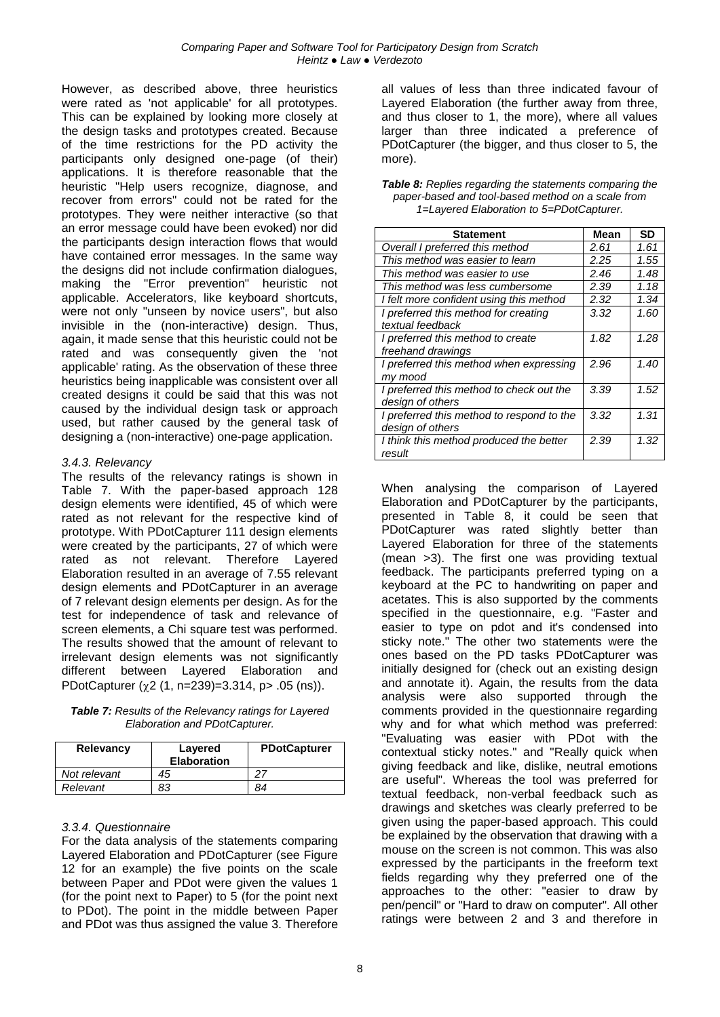However, as described above, three heuristics were rated as 'not applicable' for all prototypes. This can be explained by looking more closely at the design tasks and prototypes created. Because of the time restrictions for the PD activity the participants only designed one-page (of their) applications. It is therefore reasonable that the heuristic "Help users recognize, diagnose, and recover from errors" could not be rated for the prototypes. They were neither interactive (so that an error message could have been evoked) nor did the participants design interaction flows that would have contained error messages. In the same way the designs did not include confirmation dialogues, making the "Error prevention" heuristic not applicable. Accelerators, like keyboard shortcuts, were not only "unseen by novice users", but also invisible in the (non-interactive) design. Thus, again, it made sense that this heuristic could not be rated and was consequently given the 'not applicable' rating. As the observation of these three heuristics being inapplicable was consistent over all created designs it could be said that this was not caused by the individual design task or approach used, but rather caused by the general task of designing a (non-interactive) one-page application.

#### *3.4.3. Relevancy*

The results of the relevancy ratings is shown in [Table 7.](#page-7-1) With the paper-based approach 128 design elements were identified, 45 of which were rated as not relevant for the respective kind of prototype. With PDotCapturer 111 design elements were created by the participants, 27 of which were rated as not relevant. Therefore Layered Elaboration resulted in an average of 7.55 relevant design elements and PDotCapturer in an average of 7 relevant design elements per design. As for the test for independence of task and relevance of screen elements, a Chi square test was performed. The results showed that the amount of relevant to irrelevant design elements was not significantly different between Layered Elaboration and PDotCapturer  $(\chi 2$  (1, n=239)=3.314, p> .05 (ns)).

<span id="page-7-1"></span>*Table 7: Results of the Relevancy ratings for Layered Elaboration and PDotCapturer.*

| Relevancy    | Layered<br><b>Elaboration</b> | <b>PDotCapturer</b> |
|--------------|-------------------------------|---------------------|
| Not relevant | 45                            | つつ                  |
| Relevant     | 83                            | 84                  |

#### *3.3.4. Questionnaire*

For the data analysis of the statements comparing Layered Elaboration and PDotCapturer (see Figure [12](#page-4-3) for an example) the five points on the scale between Paper and PDot were given the values 1 (for the point next to Paper) to 5 (for the point next to PDot). The point in the middle between Paper and PDot was thus assigned the value 3. Therefore

all values of less than three indicated favour of Layered Elaboration (the further away from three, and thus closer to 1, the more), where all values larger than three indicated a preference of PDotCapturer (the bigger, and thus closer to 5, the more).

<span id="page-7-0"></span>

| <b>Table 8:</b> Replies regarding the statements comparing the |
|----------------------------------------------------------------|
| paper-based and tool-based method on a scale from              |
| 1=Layered Elaboration to 5=PDotCapturer.                       |

| Statement                                 | Mean | <b>SD</b> |
|-------------------------------------------|------|-----------|
| Overall I preferred this method           | 2.61 | 1.61      |
| This method was easier to learn           | 2.25 | 1.55      |
| This method was easier to use             | 2.46 | 1.48      |
| This method was less cumbersome           | 2.39 | 1.18      |
| I felt more confident using this method   | 2.32 | 1.34      |
| I preferred this method for creating      | 3.32 | 1.60      |
| textual feedback                          |      |           |
| I preferred this method to create         | 1.82 | 1.28      |
| freehand drawings                         |      |           |
| I preferred this method when expressing   | 2.96 | 1.40      |
| my mood                                   |      |           |
| I preferred this method to check out the  | 3.39 | 1.52      |
| design of others                          |      |           |
| I preferred this method to respond to the | 3.32 | 1.31      |
| design of others                          |      |           |
| I think this method produced the better   | 2.39 | 1.32      |
| result                                    |      |           |

When analysing the comparison of Layered Elaboration and PDotCapturer by the participants, presented in [Table 8,](#page-7-0) it could be seen that PDotCapturer was rated slightly better than Layered Elaboration for three of the statements (mean >3). The first one was providing textual feedback. The participants preferred typing on a keyboard at the PC to handwriting on paper and acetates. This is also supported by the comments specified in the questionnaire, e.g. "Faster and easier to type on pdot and it's condensed into sticky note." The other two statements were the ones based on the PD tasks PDotCapturer was initially designed for (check out an existing design and annotate it). Again, the results from the data analysis were also supported through the comments provided in the questionnaire regarding why and for what which method was preferred: "Evaluating was easier with PDot with the contextual sticky notes." and "Really quick when giving feedback and like, dislike, neutral emotions are useful". Whereas the tool was preferred for textual feedback, non-verbal feedback such as drawings and sketches was clearly preferred to be given using the paper-based approach. This could be explained by the observation that drawing with a mouse on the screen is not common. This was also expressed by the participants in the freeform text fields regarding why they preferred one of the approaches to the other: "easier to draw by pen/pencil" or "Hard to draw on computer". All other ratings were between 2 and 3 and therefore in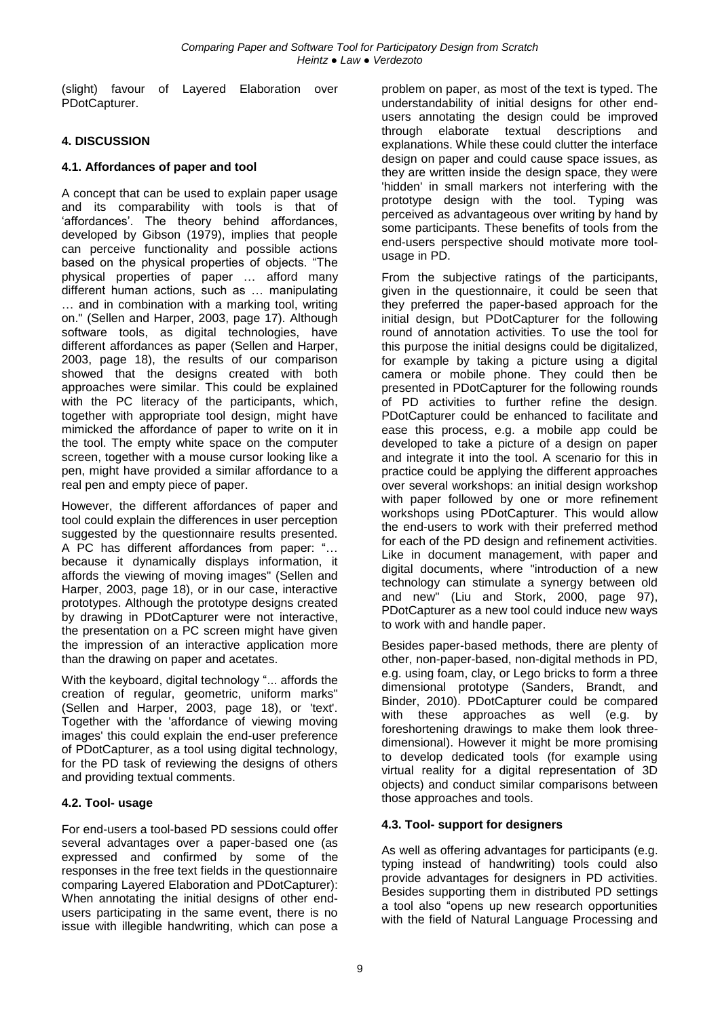(slight) favour of Layered Elaboration over PDotCapturer.

# **4. DISCUSSION**

### **4.1. Affordances of paper and tool**

A concept that can be used to explain paper usage and its comparability with tools is that of 'affordances'. The theory behind affordances, developed by Gibson (1979), implies that people can perceive functionality and possible actions based on the physical properties of objects. "The physical properties of paper … afford many different human actions, such as … manipulating … and in combination with a marking tool, writing on." (Sellen and Harper, 2003, page 17). Although software tools, as digital technologies, have different affordances as paper (Sellen and Harper, 2003, page 18), the results of our comparison showed that the designs created with both approaches were similar. This could be explained with the PC literacy of the participants, which, together with appropriate tool design, might have mimicked the affordance of paper to write on it in the tool. The empty white space on the computer screen, together with a mouse cursor looking like a pen, might have provided a similar affordance to a real pen and empty piece of paper.

However, the different affordances of paper and tool could explain the differences in user perception suggested by the questionnaire results presented. A PC has different affordances from paper: "… because it dynamically displays information, it affords the viewing of moving images" (Sellen and Harper, 2003, page 18), or in our case, interactive prototypes. Although the prototype designs created by drawing in PDotCapturer were not interactive, the presentation on a PC screen might have given the impression of an interactive application more than the drawing on paper and acetates.

With the keyboard, digital technology "... affords the creation of regular, geometric, uniform marks" (Sellen and Harper, 2003, page 18), or 'text'. Together with the 'affordance of viewing moving images' this could explain the end-user preference of PDotCapturer, as a tool using digital technology, for the PD task of reviewing the designs of others and providing textual comments.

# **4.2. Tool- usage**

For end-users a tool-based PD sessions could offer several advantages over a paper-based one (as expressed and confirmed by some of the responses in the free text fields in the questionnaire comparing Layered Elaboration and PDotCapturer): When annotating the initial designs of other endusers participating in the same event, there is no issue with illegible handwriting, which can pose a

problem on paper, as most of the text is typed. The understandability of initial designs for other endusers annotating the design could be improved through elaborate textual descriptions and explanations. While these could clutter the interface design on paper and could cause space issues, as they are written inside the design space, they were 'hidden' in small markers not interfering with the prototype design with the tool. Typing was perceived as advantageous over writing by hand by some participants. These benefits of tools from the end-users perspective should motivate more toolusage in PD.

From the subjective ratings of the participants, given in the questionnaire, it could be seen that they preferred the paper-based approach for the initial design, but PDotCapturer for the following round of annotation activities. To use the tool for this purpose the initial designs could be digitalized, for example by taking a picture using a digital camera or mobile phone. They could then be presented in PDotCapturer for the following rounds of PD activities to further refine the design. PDotCapturer could be enhanced to facilitate and ease this process, e.g. a mobile app could be developed to take a picture of a design on paper and integrate it into the tool. A scenario for this in practice could be applying the different approaches over several workshops: an initial design workshop with paper followed by one or more refinement workshops using PDotCapturer. This would allow the end-users to work with their preferred method for each of the PD design and refinement activities. Like in document management, with paper and digital documents, where "introduction of a new technology can stimulate a synergy between old and new" (Liu and Stork, 2000, page 97), PDotCapturer as a new tool could induce new ways to work with and handle paper.

Besides paper-based methods, there are plenty of other, non-paper-based, non-digital methods in PD, e.g. using foam, clay, or Lego bricks to form a three dimensional prototype (Sanders, Brandt, and Binder, 2010). PDotCapturer could be compared with these approaches as well (e.g. by foreshortening drawings to make them look threedimensional). However it might be more promising to develop dedicated tools (for example using virtual reality for a digital representation of 3D objects) and conduct similar comparisons between those approaches and tools.

# **4.3. Tool- support for designers**

As well as offering advantages for participants (e.g. typing instead of handwriting) tools could also provide advantages for designers in PD activities. Besides supporting them in distributed PD settings a tool also "opens up new research opportunities with the field of Natural Language Processing and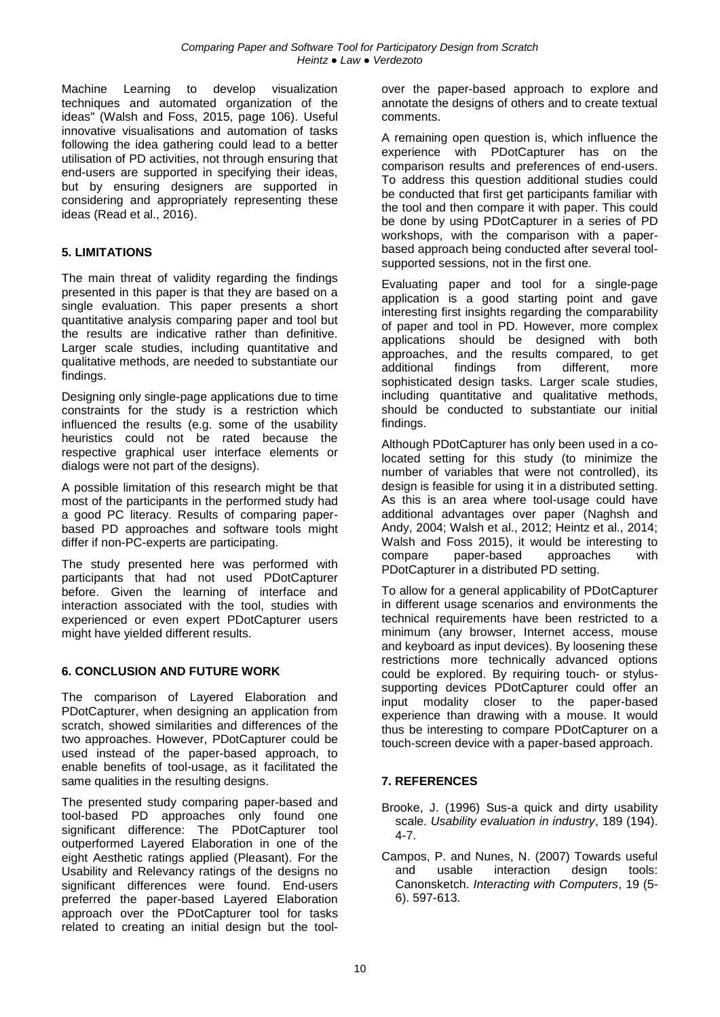Machine Learning to develop visualization techniques and automated organization of the ideas" (Walsh and Foss, 2015, page 106). Useful innovative visualisations and automation of tasks following the idea gathering could lead to a better utilisation of PD activities, not through ensuring that end-users are supported in specifying their ideas, but by ensuring designers are supported in considering and appropriately representing these ideas (Read et al., 2016).

# **5. LIMITATIONS**

The main threat of validity regarding the findings presented in this paper is that they are based on a single evaluation. This paper presents a short quantitative analysis comparing paper and tool but the results are indicative rather than definitive. Larger scale studies, including quantitative and qualitative methods, are needed to substantiate our findings.

Designing only single-page applications due to time constraints for the study is a restriction which influenced the results (e.g. some of the usability heuristics could not be rated because the respective graphical user interface elements or dialogs were not part of the designs).

A possible limitation of this research might be that most of the participants in the performed study had a good PC literacy. Results of comparing paperbased PD approaches and software tools might differ if non-PC-experts are participating.

The study presented here was performed with participants that had not used PDotCapturer before. Given the learning of interface and interaction associated with the tool, studies with experienced or even expert PDotCapturer users might have yielded different results.

# **6. CONCLUSION AND FUTURE WORK**

The comparison of Layered Elaboration and PDotCapturer, when designing an application from scratch, showed similarities and differences of the two approaches. However, PDotCapturer could be used instead of the paper-based approach, to enable benefits of tool-usage, as it facilitated the same qualities in the resulting designs.

The presented study comparing paper-based and tool-based PD approaches only found one significant difference: The PDotCapturer tool outperformed Layered Elaboration in one of the eight Aesthetic ratings applied (Pleasant). For the Usability and Relevancy ratings of the designs no significant differences were found. End-users preferred the paper-based Layered Elaboration approach over the PDotCapturer tool for tasks related to creating an initial design but the toolover the paper-based approach to explore and annotate the designs of others and to create textual comments.

A remaining open question is, which influence the experience with PDotCapturer has on the comparison results and preferences of end-users. To address this question additional studies could be conducted that first get participants familiar with the tool and then compare it with paper. This could be done by using PDotCapturer in a series of PD workshops, with the comparison with a paperbased approach being conducted after several toolsupported sessions, not in the first one.

Evaluating paper and tool for a single-page application is a good starting point and gave interesting first insights regarding the comparability of paper and tool in PD. However, more complex applications should be designed with both approaches, and the results compared, to get additional findings from different, more sophisticated design tasks. Larger scale studies, including quantitative and qualitative methods, should be conducted to substantiate our initial findings.

Although PDotCapturer has only been used in a colocated setting for this study (to minimize the number of variables that were not controlled), its design is feasible for using it in a distributed setting. As this is an area where tool-usage could have additional advantages over paper (Naghsh and Andy, 2004; Walsh et al., 2012; Heintz et al., 2014; Walsh and Foss 2015), it would be interesting to compare paper-based approaches with PDotCapturer in a distributed PD setting.

To allow for a general applicability of PDotCapturer in different usage scenarios and environments the technical requirements have been restricted to a minimum (any browser, Internet access, mouse and keyboard as input devices). By loosening these restrictions more technically advanced options could be explored. By requiring touch- or stylussupporting devices PDotCapturer could offer an input modality closer to the paper-based experience than drawing with a mouse. It would thus be interesting to compare PDotCapturer on a touch-screen device with a paper-based approach.

# **7. REFERENCES**

- Brooke, J. (1996) Sus-a quick and dirty usability scale. *Usability evaluation in industry*, 189 (194). 4-7.
- Campos, P. and Nunes, N. (2007) Towards useful and usable interaction design tools: Canonsketch. *Interacting with Computers*, 19 (5- 6). 597-613.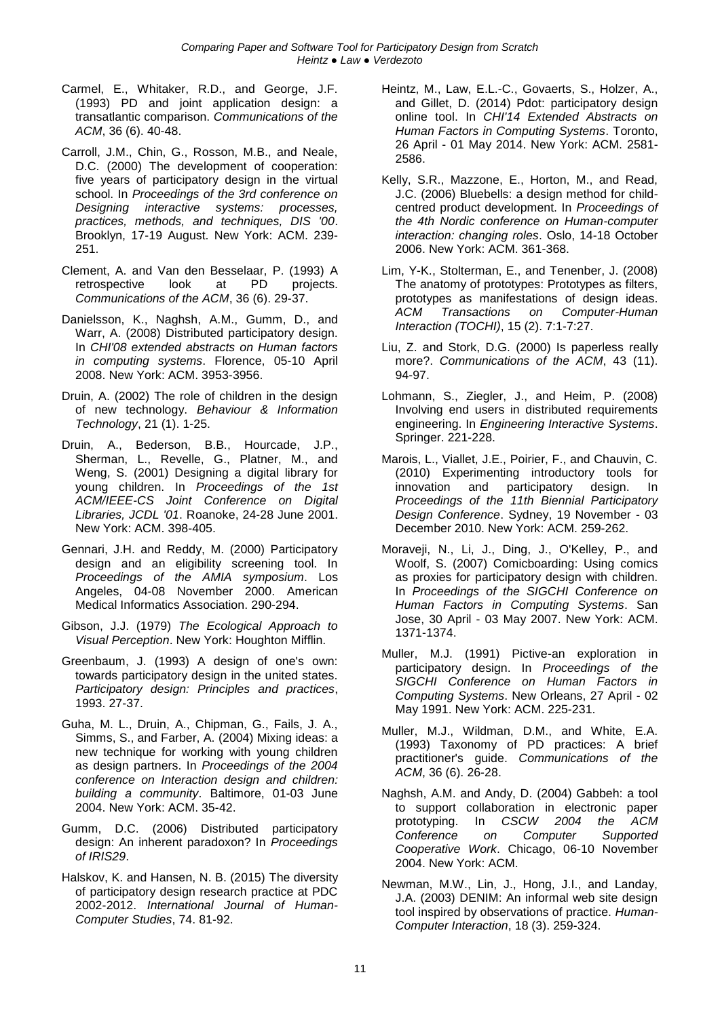- Carmel, E., Whitaker, R.D., and George, J.F. (1993) PD and joint application design: a transatlantic comparison. *Communications of the ACM*, 36 (6). 40-48.
- Carroll, J.M., Chin, G., Rosson, M.B., and Neale, D.C. (2000) The development of cooperation: five years of participatory design in the virtual school. In *Proceedings of the 3rd conference on Designing interactive systems: processes, practices, methods, and techniques, DIS '00*. Brooklyn, 17-19 August. New York: ACM. 239- 251.
- Clement, A. and Van den Besselaar, P. (1993) A retrospective look at PD projects. *Communications of the ACM*, 36 (6). 29-37.
- Danielsson, K., Naghsh, A.M., Gumm, D., and Warr, A. (2008) Distributed participatory design. In *CHI'08 extended abstracts on Human factors in computing systems*. Florence, 05-10 April 2008. New York: ACM. 3953-3956.
- Druin, A. (2002) The role of children in the design of new technology. *Behaviour & Information Technology*, 21 (1). 1-25.
- Druin, A., Bederson, B.B., Hourcade, J.P., Sherman, L., Revelle, G., Platner, M., and Weng, S. (2001) Designing a digital library for young children. In *Proceedings of the 1st ACM/IEEE-CS Joint Conference on Digital Libraries, JCDL '01*. Roanoke, 24-28 June 2001. New York: ACM. 398-405.
- Gennari, J.H. and Reddy, M. (2000) Participatory design and an eligibility screening tool. In *Proceedings of the AMIA symposium*. Los Angeles, 04-08 November 2000. American Medical Informatics Association. 290-294.
- Gibson, J.J. (1979) *The Ecological Approach to Visual Perception*. New York: Houghton Mifflin.
- Greenbaum, J. (1993) A design of one's own: towards participatory design in the united states. *Participatory design: Principles and practices*, 1993. 27-37.
- Guha, M. L., Druin, A., Chipman, G., Fails, J. A., Simms, S., and Farber, A. (2004) Mixing ideas: a new technique for working with young children as design partners. In *Proceedings of the 2004 conference on Interaction design and children: building a community*. Baltimore, 01-03 June 2004. New York: ACM. 35-42.
- Gumm, D.C. (2006) Distributed participatory design: An inherent paradoxon? In *Proceedings of IRIS29*.
- Halskov, K. and Hansen, N. B. (2015) The diversity of participatory design research practice at PDC 2002-2012. *International Journal of Human-Computer Studies*, 74. 81-92.
- Heintz, M., Law, E.L.-C., Govaerts, S., Holzer, A., and Gillet, D. (2014) Pdot: participatory design online tool. In *CHI'14 Extended Abstracts on Human Factors in Computing Systems*. Toronto, 26 April - 01 May 2014. New York: ACM. 2581- 2586.
- Kelly, S.R., Mazzone, E., Horton, M., and Read, J.C. (2006) Bluebells: a design method for childcentred product development. In *Proceedings of the 4th Nordic conference on Human-computer interaction: changing roles*. Oslo, 14-18 October 2006. New York: ACM. 361-368.
- Lim, Y-K., Stolterman, E., and Tenenber, J. (2008) The anatomy of prototypes: Prototypes as filters, prototypes as manifestations of design ideas. *ACM Transactions on Computer-Human Interaction (TOCHI)*, 15 (2). 7:1-7:27.
- Liu, Z. and Stork, D.G. (2000) Is paperless really more?. *Communications of the ACM*, 43 (11). 94-97.
- Lohmann, S., Ziegler, J., and Heim, P. (2008) Involving end users in distributed requirements engineering. In *Engineering Interactive Systems*. Springer. 221-228.
- Marois, L., Viallet, J.E., Poirier, F., and Chauvin, C. (2010) Experimenting introductory tools for innovation and participatory design. In *Proceedings of the 11th Biennial Participatory Design Conference*. Sydney, 19 November - 03 December 2010. New York: ACM. 259-262.
- Moraveji, N., Li, J., Ding, J., O'Kelley, P., and Woolf, S. (2007) Comicboarding: Using comics as proxies for participatory design with children. In *Proceedings of the SIGCHI Conference on Human Factors in Computing Systems*. San Jose, 30 April - 03 May 2007. New York: ACM. 1371-1374.
- Muller, M.J. (1991) Pictive-an exploration in participatory design. In *Proceedings of the SIGCHI Conference on Human Factors in Computing Systems*. New Orleans, 27 April - 02 May 1991. New York: ACM. 225-231.
- Muller, M.J., Wildman, D.M., and White, E.A. (1993) Taxonomy of PD practices: A brief practitioner's guide. *Communications of the ACM*, 36 (6). 26-28.
- Naghsh, A.M. and Andy, D. (2004) Gabbeh: a tool to support collaboration in electronic paper prototyping. In *CSCW 2004 the ACM Conference on Computer Supported Cooperative Work*. Chicago, 06-10 November 2004. New York: ACM.
- Newman, M.W., Lin, J., Hong, J.I., and Landay, J.A. (2003) DENIM: An informal web site design tool inspired by observations of practice. *Human-Computer Interaction*, 18 (3). 259-324.